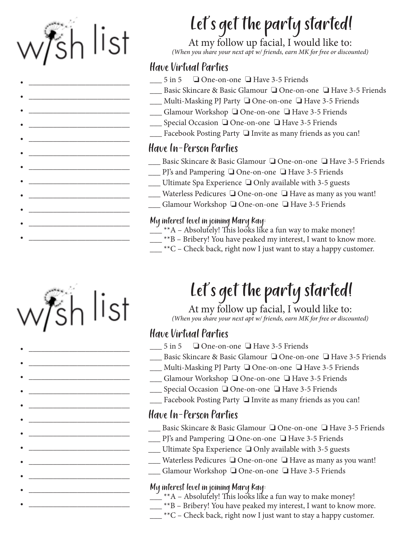

•  $\frac{1}{2}$  ,  $\frac{1}{2}$  ,  $\frac{1}{2}$  ,  $\frac{1}{2}$  ,  $\frac{1}{2}$  ,  $\frac{1}{2}$  ,  $\frac{1}{2}$  ,  $\frac{1}{2}$  ,  $\frac{1}{2}$  ,  $\frac{1}{2}$  ,  $\frac{1}{2}$  ,  $\frac{1}{2}$  ,  $\frac{1}{2}$  ,  $\frac{1}{2}$  ,  $\frac{1}{2}$  ,  $\frac{1}{2}$  ,  $\frac{1}{2}$  ,  $\frac{1}{2}$  ,  $\frac$ 

•  $\frac{1}{2}$  ,  $\frac{1}{2}$  ,  $\frac{1}{2}$  ,  $\frac{1}{2}$  ,  $\frac{1}{2}$  ,  $\frac{1}{2}$  ,  $\frac{1}{2}$  ,  $\frac{1}{2}$  ,  $\frac{1}{2}$  ,  $\frac{1}{2}$  ,  $\frac{1}{2}$  ,  $\frac{1}{2}$  ,  $\frac{1}{2}$  ,  $\frac{1}{2}$  ,  $\frac{1}{2}$  ,  $\frac{1}{2}$  ,  $\frac{1}{2}$  ,  $\frac{1}{2}$  ,  $\frac$ 

•  $\frac{1}{2}$  ,  $\frac{1}{2}$  ,  $\frac{1}{2}$  ,  $\frac{1}{2}$  ,  $\frac{1}{2}$  ,  $\frac{1}{2}$  ,  $\frac{1}{2}$  ,  $\frac{1}{2}$  ,  $\frac{1}{2}$  ,  $\frac{1}{2}$  ,  $\frac{1}{2}$  ,  $\frac{1}{2}$  ,  $\frac{1}{2}$  ,  $\frac{1}{2}$  ,  $\frac{1}{2}$  ,  $\frac{1}{2}$  ,  $\frac{1}{2}$  ,  $\frac{1}{2}$  ,  $\frac$ 

•  $\frac{1}{2}$  ,  $\frac{1}{2}$  ,  $\frac{1}{2}$  ,  $\frac{1}{2}$  ,  $\frac{1}{2}$  ,  $\frac{1}{2}$  ,  $\frac{1}{2}$  ,  $\frac{1}{2}$  ,  $\frac{1}{2}$  ,  $\frac{1}{2}$  ,  $\frac{1}{2}$  ,  $\frac{1}{2}$  ,  $\frac{1}{2}$  ,  $\frac{1}{2}$  ,  $\frac{1}{2}$  ,  $\frac{1}{2}$  ,  $\frac{1}{2}$  ,  $\frac{1}{2}$  ,  $\frac$ 

•  $\frac{1}{2}$  ,  $\frac{1}{2}$  ,  $\frac{1}{2}$  ,  $\frac{1}{2}$  ,  $\frac{1}{2}$  ,  $\frac{1}{2}$  ,  $\frac{1}{2}$  ,  $\frac{1}{2}$  ,  $\frac{1}{2}$  ,  $\frac{1}{2}$  ,  $\frac{1}{2}$  ,  $\frac{1}{2}$  ,  $\frac{1}{2}$  ,  $\frac{1}{2}$  ,  $\frac{1}{2}$  ,  $\frac{1}{2}$  ,  $\frac{1}{2}$  ,  $\frac{1}{2}$  ,  $\frac$ 

•  $\frac{1}{2}$  ,  $\frac{1}{2}$  ,  $\frac{1}{2}$  ,  $\frac{1}{2}$  ,  $\frac{1}{2}$  ,  $\frac{1}{2}$  ,  $\frac{1}{2}$  ,  $\frac{1}{2}$  ,  $\frac{1}{2}$  ,  $\frac{1}{2}$  ,  $\frac{1}{2}$  ,  $\frac{1}{2}$  ,  $\frac{1}{2}$  ,  $\frac{1}{2}$  ,  $\frac{1}{2}$  ,  $\frac{1}{2}$  ,  $\frac{1}{2}$  ,  $\frac{1}{2}$  ,  $\frac$ 

•  $\frac{1}{2}$  ,  $\frac{1}{2}$  ,  $\frac{1}{2}$  ,  $\frac{1}{2}$  ,  $\frac{1}{2}$  ,  $\frac{1}{2}$  ,  $\frac{1}{2}$  ,  $\frac{1}{2}$  ,  $\frac{1}{2}$  ,  $\frac{1}{2}$  ,  $\frac{1}{2}$  ,  $\frac{1}{2}$  ,  $\frac{1}{2}$  ,  $\frac{1}{2}$  ,  $\frac{1}{2}$  ,  $\frac{1}{2}$  ,  $\frac{1}{2}$  ,  $\frac{1}{2}$  ,  $\frac$ 

•  $\frac{1}{2}$  ,  $\frac{1}{2}$  ,  $\frac{1}{2}$  ,  $\frac{1}{2}$  ,  $\frac{1}{2}$  ,  $\frac{1}{2}$  ,  $\frac{1}{2}$  ,  $\frac{1}{2}$  ,  $\frac{1}{2}$  ,  $\frac{1}{2}$  ,  $\frac{1}{2}$  ,  $\frac{1}{2}$  ,  $\frac{1}{2}$  ,  $\frac{1}{2}$  ,  $\frac{1}{2}$  ,  $\frac{1}{2}$  ,  $\frac{1}{2}$  ,  $\frac{1}{2}$  ,  $\frac$ 

•  $\frac{1}{2}$  ,  $\frac{1}{2}$  ,  $\frac{1}{2}$  ,  $\frac{1}{2}$  ,  $\frac{1}{2}$  ,  $\frac{1}{2}$  ,  $\frac{1}{2}$  ,  $\frac{1}{2}$  ,  $\frac{1}{2}$  ,  $\frac{1}{2}$  ,  $\frac{1}{2}$  ,  $\frac{1}{2}$  ,  $\frac{1}{2}$  ,  $\frac{1}{2}$  ,  $\frac{1}{2}$  ,  $\frac{1}{2}$  ,  $\frac{1}{2}$  ,  $\frac{1}{2}$  ,  $\frac$ 

•  $\frac{1}{2}$  ,  $\frac{1}{2}$  ,  $\frac{1}{2}$  ,  $\frac{1}{2}$  ,  $\frac{1}{2}$  ,  $\frac{1}{2}$  ,  $\frac{1}{2}$  ,  $\frac{1}{2}$  ,  $\frac{1}{2}$  ,  $\frac{1}{2}$  ,  $\frac{1}{2}$  ,  $\frac{1}{2}$  ,  $\frac{1}{2}$  ,  $\frac{1}{2}$  ,  $\frac{1}{2}$  ,  $\frac{1}{2}$  ,  $\frac{1}{2}$  ,  $\frac{1}{2}$  ,  $\frac$ 

•  $\frac{1}{2}$  ,  $\frac{1}{2}$  ,  $\frac{1}{2}$  ,  $\frac{1}{2}$  ,  $\frac{1}{2}$  ,  $\frac{1}{2}$  ,  $\frac{1}{2}$  ,  $\frac{1}{2}$  ,  $\frac{1}{2}$  ,  $\frac{1}{2}$  ,  $\frac{1}{2}$  ,  $\frac{1}{2}$  ,  $\frac{1}{2}$  ,  $\frac{1}{2}$  ,  $\frac{1}{2}$  ,  $\frac{1}{2}$  ,  $\frac{1}{2}$  ,  $\frac{1}{2}$  ,  $\frac$ 

•  $\frac{1}{2}$  ,  $\frac{1}{2}$  ,  $\frac{1}{2}$  ,  $\frac{1}{2}$  ,  $\frac{1}{2}$  ,  $\frac{1}{2}$  ,  $\frac{1}{2}$  ,  $\frac{1}{2}$  ,  $\frac{1}{2}$  ,  $\frac{1}{2}$  ,  $\frac{1}{2}$  ,  $\frac{1}{2}$  ,  $\frac{1}{2}$  ,  $\frac{1}{2}$  ,  $\frac{1}{2}$  ,  $\frac{1}{2}$  ,  $\frac{1}{2}$  ,  $\frac{1}{2}$  ,  $\frac$ 

Let's get the party started!

At my follow up facial, I would like to: *(When you share your next apt w/ friends, earn MK for free or discounted)* 

#### Have Virtual Parties

- $\Box$  5 in 5  $\Box$  One-on-one  $\Box$  Have 3-5 Friends
- **\_\_\_** Basic Skincare & Basic Glamour □ One-on-one □ Have 3-5 Friends
- \_\_\_ Multi-Masking PJ Party  $\Box$  One-on-one  $\Box$  Have 3-5 Friends
- </u> Glamour Workshop □ One-on-one □ Have 3-5 Friends
- </u> Special Occasion □ One-on-one □ Have 3-5 Friends
- $\Box$  Facebook Posting Party  $\Box$  Invite as many friends as you can!

### Have In-Person Parties

- \_\_\_ Basic Skincare & Basic Glamour □ One-on-one □ Have 3-5 Friends
- $\Box$  PJ's and Pampering  $\Box$  One-on-one  $\Box$  Have 3-5 Friends
- $\Box$  Ultimate Spa Experience  $\Box$  Only available with 3-5 guests
- \_\_\_ Waterless Pedicures  $\Box$  One-on-one  $\Box$  Have as many as you want!
- </u> Glamour Workshop □ One-on-one □ Have 3-5 Friends

#### My interest level in joining Mary Kay:

- $\frac{1}{2}$  \*\*A Absolutely! This looks like a fun way to make money!
- $\frac{1}{2}$ \*\*B Bribery! You have peaked my interest, I want to know more.
- $\frac{1}{2}$  \*\*C Check back, right now I just want to stay a happy customer.

# Let's get the party started!

At my follow up facial, I would like to: *(When you share your next apt w/ friends, earn MK for free or discounted)* 

## Have Virtual Parties

- $\Box$  5 in 5  $\Box$  One-on-one  $\Box$  Have 3-5 Friends
- **\_\_\_** Basic Skincare & Basic Glamour □ One-on-one □ Have 3-5 Friends
- \_\_\_ Multi-Masking PJ Party  $\Box$  One-on-one  $\Box$  Have 3-5 Friends
- </u> Glamour Workshop □ One-on-one □ Have 3-5 Friends
- </u> \_\_\_ Special Occasion □ One-on-one □ Have 3-5 Friends
- $\Box$  Facebook Posting Party  $\Box$  Invite as many friends as you can!

## Have In-Person Parties

- \_\_\_ Basic Skincare & Basic Glamour  $\Box$  One-on-one  $\Box$  Have 3-5 Friends
- </u> PJ's and Pampering □ One-on-one □ Have 3-5 Friends
- $\Box$  Ultimate Spa Experience  $\Box$  Only available with 3-5 guests
- \_\_\_ Waterless Pedicures  $\Box$  One-on-one  $\Box$  Have as many as you want!
- </u> Glamour Workshop □ One-on-one □ Have 3-5 Friends

#### My interest level in joining Mary Kay:

- $\rightarrow$ \*\*A Absolutely! This looks like a fun way to make money!
- \_ \*\*B Bribery! You have peaked my interest, I want to know more.
- $\mathbb{R}^*$ °C Check back, right now I just want to stay a happy customer.
- $w$  $\frac{1}{5}h$  list
- $\frac{1}{2}$  ,  $\frac{1}{2}$  ,  $\frac{1}{2}$  ,  $\frac{1}{2}$  ,  $\frac{1}{2}$  ,  $\frac{1}{2}$  ,  $\frac{1}{2}$  ,  $\frac{1}{2}$  ,  $\frac{1}{2}$  ,  $\frac{1}{2}$  ,  $\frac{1}{2}$  ,  $\frac{1}{2}$  ,  $\frac{1}{2}$  ,  $\frac{1}{2}$  ,  $\frac{1}{2}$  ,  $\frac{1}{2}$  ,  $\frac{1}{2}$  ,  $\frac{1}{2}$  ,  $\frac$
- $\frac{1}{2}$  ,  $\frac{1}{2}$  ,  $\frac{1}{2}$  ,  $\frac{1}{2}$  ,  $\frac{1}{2}$  ,  $\frac{1}{2}$  ,  $\frac{1}{2}$  ,  $\frac{1}{2}$  ,  $\frac{1}{2}$  ,  $\frac{1}{2}$  ,  $\frac{1}{2}$  ,  $\frac{1}{2}$  ,  $\frac{1}{2}$  ,  $\frac{1}{2}$  ,  $\frac{1}{2}$  ,  $\frac{1}{2}$  ,  $\frac{1}{2}$  ,  $\frac{1}{2}$  ,  $\frac$
- $\frac{1}{2}$  ,  $\frac{1}{2}$  ,  $\frac{1}{2}$  ,  $\frac{1}{2}$  ,  $\frac{1}{2}$  ,  $\frac{1}{2}$  ,  $\frac{1}{2}$  ,  $\frac{1}{2}$  ,  $\frac{1}{2}$  ,  $\frac{1}{2}$  ,  $\frac{1}{2}$  ,  $\frac{1}{2}$  ,  $\frac{1}{2}$  ,  $\frac{1}{2}$  ,  $\frac{1}{2}$  ,  $\frac{1}{2}$  ,  $\frac{1}{2}$  ,  $\frac{1}{2}$  ,  $\frac$
- $\frac{1}{2}$  ,  $\frac{1}{2}$  ,  $\frac{1}{2}$  ,  $\frac{1}{2}$  ,  $\frac{1}{2}$  ,  $\frac{1}{2}$  ,  $\frac{1}{2}$  ,  $\frac{1}{2}$  ,  $\frac{1}{2}$  ,  $\frac{1}{2}$  ,  $\frac{1}{2}$  ,  $\frac{1}{2}$  ,  $\frac{1}{2}$  ,  $\frac{1}{2}$  ,  $\frac{1}{2}$  ,  $\frac{1}{2}$  ,  $\frac{1}{2}$  ,  $\frac{1}{2}$  ,  $\frac$
- $\frac{1}{2}$  ,  $\frac{1}{2}$  ,  $\frac{1}{2}$  ,  $\frac{1}{2}$  ,  $\frac{1}{2}$  ,  $\frac{1}{2}$  ,  $\frac{1}{2}$  ,  $\frac{1}{2}$  ,  $\frac{1}{2}$  ,  $\frac{1}{2}$  ,  $\frac{1}{2}$  ,  $\frac{1}{2}$  ,  $\frac{1}{2}$  ,  $\frac{1}{2}$  ,  $\frac{1}{2}$  ,  $\frac{1}{2}$  ,  $\frac{1}{2}$  ,  $\frac{1}{2}$  ,  $\frac$
- $\frac{1}{2}$  ,  $\frac{1}{2}$  ,  $\frac{1}{2}$  ,  $\frac{1}{2}$  ,  $\frac{1}{2}$  ,  $\frac{1}{2}$  ,  $\frac{1}{2}$  ,  $\frac{1}{2}$  ,  $\frac{1}{2}$  ,  $\frac{1}{2}$  ,  $\frac{1}{2}$  ,  $\frac{1}{2}$  ,  $\frac{1}{2}$  ,  $\frac{1}{2}$  ,  $\frac{1}{2}$  ,  $\frac{1}{2}$  ,  $\frac{1}{2}$  ,  $\frac{1}{2}$  ,  $\frac$
- $\frac{1}{2}$  ,  $\frac{1}{2}$  ,  $\frac{1}{2}$  ,  $\frac{1}{2}$  ,  $\frac{1}{2}$  ,  $\frac{1}{2}$  ,  $\frac{1}{2}$  ,  $\frac{1}{2}$  ,  $\frac{1}{2}$  ,  $\frac{1}{2}$  ,  $\frac{1}{2}$  ,  $\frac{1}{2}$  ,  $\frac{1}{2}$  ,  $\frac{1}{2}$  ,  $\frac{1}{2}$  ,  $\frac{1}{2}$  ,  $\frac{1}{2}$  ,  $\frac{1}{2}$  ,  $\frac$
- $\frac{1}{2}$  ,  $\frac{1}{2}$  ,  $\frac{1}{2}$  ,  $\frac{1}{2}$  ,  $\frac{1}{2}$  ,  $\frac{1}{2}$  ,  $\frac{1}{2}$  ,  $\frac{1}{2}$  ,  $\frac{1}{2}$  ,  $\frac{1}{2}$  ,  $\frac{1}{2}$  ,  $\frac{1}{2}$  ,  $\frac{1}{2}$  ,  $\frac{1}{2}$  ,  $\frac{1}{2}$  ,  $\frac{1}{2}$  ,  $\frac{1}{2}$  ,  $\frac{1}{2}$  ,  $\frac$
- 
- $\frac{1}{2}$  ,  $\frac{1}{2}$  ,  $\frac{1}{2}$  ,  $\frac{1}{2}$  ,  $\frac{1}{2}$  ,  $\frac{1}{2}$  ,  $\frac{1}{2}$  ,  $\frac{1}{2}$  ,  $\frac{1}{2}$  ,  $\frac{1}{2}$  ,  $\frac{1}{2}$  ,  $\frac{1}{2}$  ,  $\frac{1}{2}$  ,  $\frac{1}{2}$  ,  $\frac{1}{2}$  ,  $\frac{1}{2}$  ,  $\frac{1}{2}$  ,  $\frac{1}{2}$  ,  $\frac$
- $\frac{1}{2}$  ,  $\frac{1}{2}$  ,  $\frac{1}{2}$  ,  $\frac{1}{2}$  ,  $\frac{1}{2}$  ,  $\frac{1}{2}$  ,  $\frac{1}{2}$  ,  $\frac{1}{2}$  ,  $\frac{1}{2}$  ,  $\frac{1}{2}$  ,  $\frac{1}{2}$  ,  $\frac{1}{2}$  ,  $\frac{1}{2}$  ,  $\frac{1}{2}$  ,  $\frac{1}{2}$  ,  $\frac{1}{2}$  ,  $\frac{1}{2}$  ,  $\frac{1}{2}$  ,  $\frac$
- $\frac{1}{2}$  ,  $\frac{1}{2}$  ,  $\frac{1}{2}$  ,  $\frac{1}{2}$  ,  $\frac{1}{2}$  ,  $\frac{1}{2}$  ,  $\frac{1}{2}$  ,  $\frac{1}{2}$  ,  $\frac{1}{2}$  ,  $\frac{1}{2}$  ,  $\frac{1}{2}$  ,  $\frac{1}{2}$  ,  $\frac{1}{2}$  ,  $\frac{1}{2}$  ,  $\frac{1}{2}$  ,  $\frac{1}{2}$  ,  $\frac{1}{2}$  ,  $\frac{1}{2}$  ,  $\frac$

 $\bullet$   $\overline{\phantom{a}}$   $\overline{\phantom{a}}$   $\overline{\phantom{a}}$   $\overline{\phantom{a}}$   $\overline{\phantom{a}}$   $\overline{\phantom{a}}$   $\overline{\phantom{a}}$   $\overline{\phantom{a}}$   $\overline{\phantom{a}}$   $\overline{\phantom{a}}$   $\overline{\phantom{a}}$   $\overline{\phantom{a}}$   $\overline{\phantom{a}}$   $\overline{\phantom{a}}$   $\overline{\phantom{a}}$   $\overline{\phantom{a}}$   $\overline{\phantom{a}}$   $\overline{\phantom{a}}$